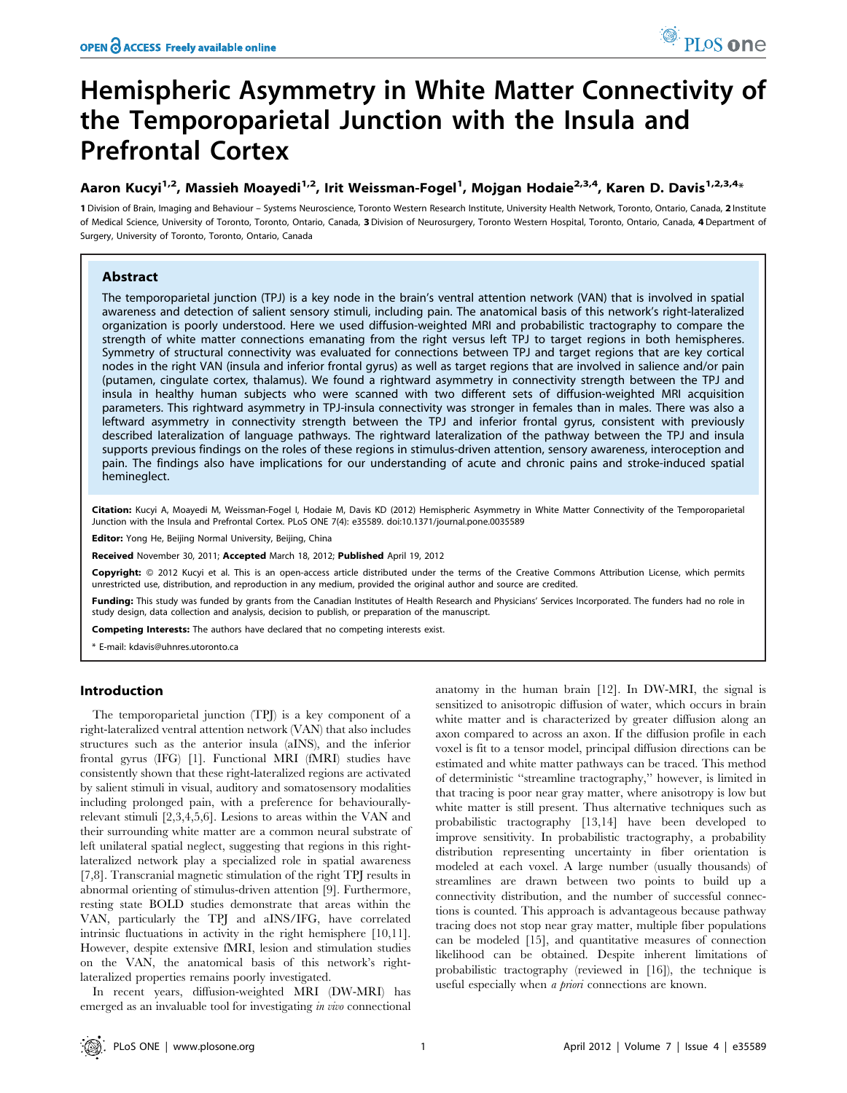# Hemispheric Asymmetry in White Matter Connectivity of the Temporoparietal Junction with the Insula and Prefrontal Cortex

# Aaron Kucyi<sup>1,2</sup>, Massieh Moayedi<sup>1,2</sup>, Irit Weissman-Fogel<sup>1</sup>, Mojgan Hodaie<sup>2,3,4</sup>, Karen D. Davis<sup>1,2,3,4</sup>\*

1 Division of Brain, Imaging and Behaviour – Systems Neuroscience, Toronto Western Research Institute, University Health Network, Toronto, Ontario, Canada, 2 Institute of Medical Science, University of Toronto, Toronto, Ontario, Canada, 3 Division of Neurosurgery, Toronto Western Hospital, Toronto, Ontario, Canada, 4 Department of Surgery, University of Toronto, Toronto, Ontario, Canada

# Abstract

The temporoparietal junction (TPJ) is a key node in the brain's ventral attention network (VAN) that is involved in spatial awareness and detection of salient sensory stimuli, including pain. The anatomical basis of this network's right-lateralized organization is poorly understood. Here we used diffusion-weighted MRI and probabilistic tractography to compare the strength of white matter connections emanating from the right versus left TPJ to target regions in both hemispheres. Symmetry of structural connectivity was evaluated for connections between TPJ and target regions that are key cortical nodes in the right VAN (insula and inferior frontal gyrus) as well as target regions that are involved in salience and/or pain (putamen, cingulate cortex, thalamus). We found a rightward asymmetry in connectivity strength between the TPJ and insula in healthy human subjects who were scanned with two different sets of diffusion-weighted MRI acquisition parameters. This rightward asymmetry in TPJ-insula connectivity was stronger in females than in males. There was also a leftward asymmetry in connectivity strength between the TPJ and inferior frontal gyrus, consistent with previously described lateralization of language pathways. The rightward lateralization of the pathway between the TPJ and insula supports previous findings on the roles of these regions in stimulus-driven attention, sensory awareness, interoception and pain. The findings also have implications for our understanding of acute and chronic pains and stroke-induced spatial hemineglect.

Citation: Kucyi A, Moayedi M, Weissman-Fogel I, Hodaie M, Davis KD (2012) Hemispheric Asymmetry in White Matter Connectivity of the Temporoparietal Junction with the Insula and Prefrontal Cortex. PLoS ONE 7(4): e35589. doi:10.1371/journal.pone.0035589

Editor: Yong He, Beijing Normal University, Beijing, China

Received November 30, 2011; Accepted March 18, 2012; Published April 19, 2012

Copyright: © 2012 Kucyi et al. This is an open-access article distributed under the terms of the Creative Commons Attribution License, which permits unrestricted use, distribution, and reproduction in any medium, provided the original author and source are credited.

Funding: This study was funded by grants from the Canadian Institutes of Health Research and Physicians' Services Incorporated. The funders had no role in study design, data collection and analysis, decision to publish, or preparation of the manuscript.

Competing Interests: The authors have declared that no competing interests exist.

\* E-mail: kdavis@uhnres.utoronto.ca

# Introduction

The temporoparietal junction (TPJ) is a key component of a right-lateralized ventral attention network (VAN) that also includes structures such as the anterior insula (aINS), and the inferior frontal gyrus (IFG) [1]. Functional MRI (fMRI) studies have consistently shown that these right-lateralized regions are activated by salient stimuli in visual, auditory and somatosensory modalities including prolonged pain, with a preference for behaviourallyrelevant stimuli [2,3,4,5,6]. Lesions to areas within the VAN and their surrounding white matter are a common neural substrate of left unilateral spatial neglect, suggesting that regions in this rightlateralized network play a specialized role in spatial awareness [7,8]. Transcranial magnetic stimulation of the right TPJ results in abnormal orienting of stimulus-driven attention [9]. Furthermore, resting state BOLD studies demonstrate that areas within the VAN, particularly the TPJ and aINS/IFG, have correlated intrinsic fluctuations in activity in the right hemisphere [10,11]. However, despite extensive fMRI, lesion and stimulation studies on the VAN, the anatomical basis of this network's rightlateralized properties remains poorly investigated.

In recent years, diffusion-weighted MRI (DW-MRI) has emerged as an invaluable tool for investigating in vivo connectional anatomy in the human brain [12]. In DW-MRI, the signal is sensitized to anisotropic diffusion of water, which occurs in brain white matter and is characterized by greater diffusion along an axon compared to across an axon. If the diffusion profile in each voxel is fit to a tensor model, principal diffusion directions can be estimated and white matter pathways can be traced. This method of deterministic ''streamline tractography,'' however, is limited in that tracing is poor near gray matter, where anisotropy is low but white matter is still present. Thus alternative techniques such as probabilistic tractography [13,14] have been developed to improve sensitivity. In probabilistic tractography, a probability distribution representing uncertainty in fiber orientation is modeled at each voxel. A large number (usually thousands) of streamlines are drawn between two points to build up a connectivity distribution, and the number of successful connections is counted. This approach is advantageous because pathway tracing does not stop near gray matter, multiple fiber populations can be modeled [15], and quantitative measures of connection likelihood can be obtained. Despite inherent limitations of probabilistic tractography (reviewed in [16]), the technique is useful especially when a priori connections are known.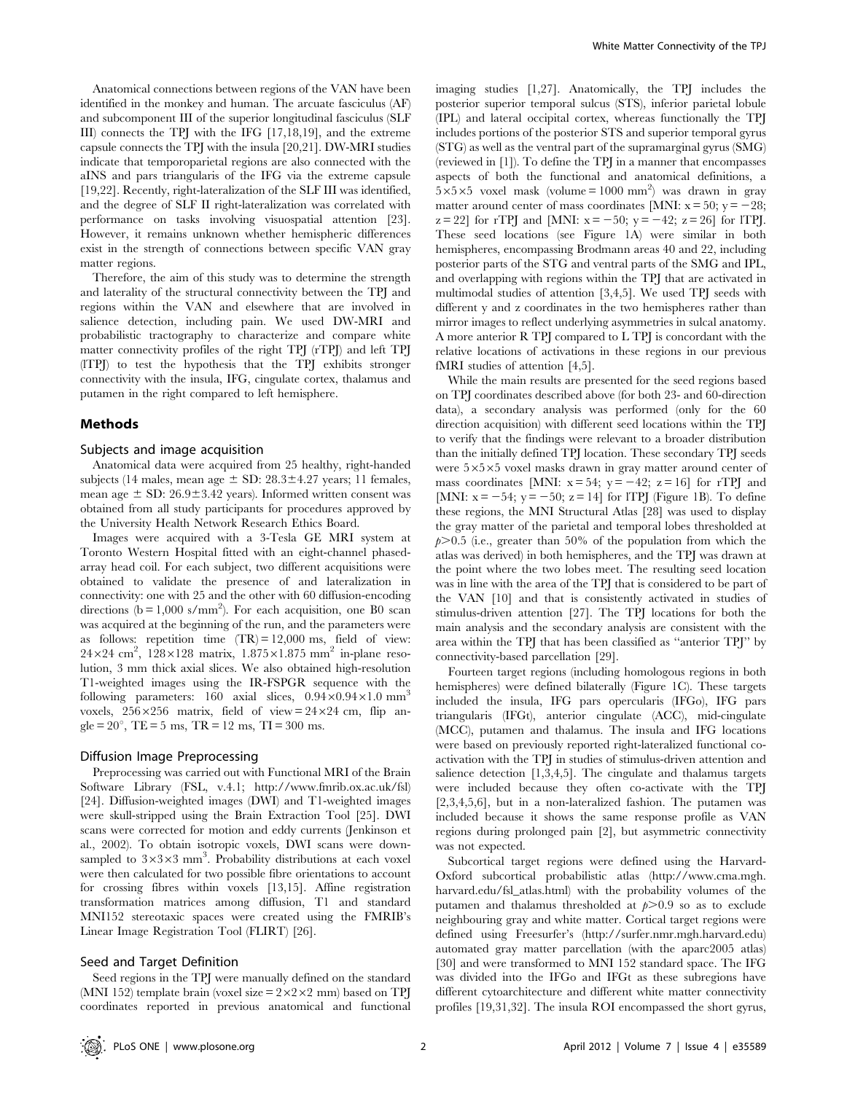Anatomical connections between regions of the VAN have been identified in the monkey and human. The arcuate fasciculus (AF) and subcomponent III of the superior longitudinal fasciculus (SLF III) connects the TPJ with the IFG [17,18,19], and the extreme capsule connects the TPJ with the insula [20,21]. DW-MRI studies indicate that temporoparietal regions are also connected with the aINS and pars triangularis of the IFG via the extreme capsule [19,22]. Recently, right-lateralization of the SLF III was identified, and the degree of SLF II right-lateralization was correlated with performance on tasks involving visuospatial attention [23]. However, it remains unknown whether hemispheric differences exist in the strength of connections between specific VAN gray matter regions.

Therefore, the aim of this study was to determine the strength and laterality of the structural connectivity between the TPJ and regions within the VAN and elsewhere that are involved in salience detection, including pain. We used DW-MRI and probabilistic tractography to characterize and compare white matter connectivity profiles of the right TPJ (rTPJ) and left TPJ (lTPJ) to test the hypothesis that the TPJ exhibits stronger connectivity with the insula, IFG, cingulate cortex, thalamus and putamen in the right compared to left hemisphere.

#### Methods

#### Subjects and image acquisition

Anatomical data were acquired from 25 healthy, right-handed subjects (14 males, mean age  $\pm$  SD: 28.3 $\pm$ 4.27 years; 11 females, mean age  $\pm$  SD: 26.9 $\pm$ 3.42 years). Informed written consent was obtained from all study participants for procedures approved by the University Health Network Research Ethics Board.

Images were acquired with a 3-Tesla GE MRI system at Toronto Western Hospital fitted with an eight-channel phasedarray head coil. For each subject, two different acquisitions were obtained to validate the presence of and lateralization in connectivity: one with 25 and the other with 60 diffusion-encoding directions  $(b = 1,000 \text{ s/mm}^2)$ . For each acquisition, one B0 scan was acquired at the beginning of the run, and the parameters were as follows: repetition time  $(TR) = 12,000$  ms, field of view:  $24\times24$  cm<sup>2</sup>,  $128\times128$  matrix,  $1.875\times1.875$  mm<sup>2</sup> in-plane resolution, 3 mm thick axial slices. We also obtained high-resolution T1-weighted images using the IR-FSPGR sequence with the following parameters:  $160$  axial slices,  $0.94 \times 0.94 \times 1.0$  mm<sup>3</sup> voxels,  $256 \times 256$  matrix, field of view =  $24 \times 24$  cm, flip angle =  $20^{\circ}$ , TE =  $5 \text{ ms}$ , TR =  $12 \text{ ms}$ , TI =  $300 \text{ ms}$ .

#### Diffusion Image Preprocessing

Preprocessing was carried out with Functional MRI of the Brain Software Library (FSL, v.4.1; http://www.fmrib.ox.ac.uk/fsl) [24]. Diffusion-weighted images (DWI) and T1-weighted images were skull-stripped using the Brain Extraction Tool [25]. DWI scans were corrected for motion and eddy currents (Jenkinson et al., 2002). To obtain isotropic voxels, DWI scans were downsampled to  $3\times3\times3$  mm<sup>3</sup>. Probability distributions at each voxel were then calculated for two possible fibre orientations to account for crossing fibres within voxels [13,15]. Affine registration transformation matrices among diffusion, T1 and standard MNI152 stereotaxic spaces were created using the FMRIB's Linear Image Registration Tool (FLIRT) [26].

## Seed and Target Definition

Seed regions in the TPJ were manually defined on the standard (MNI 152) template brain (voxel size  $= 2 \times 2 \times 2$  mm) based on TPJ coordinates reported in previous anatomical and functional imaging studies [1,27]. Anatomically, the TPJ includes the posterior superior temporal sulcus (STS), inferior parietal lobule (IPL) and lateral occipital cortex, whereas functionally the TPJ includes portions of the posterior STS and superior temporal gyrus (STG) as well as the ventral part of the supramarginal gyrus (SMG) (reviewed in [1]). To define the TPJ in a manner that encompasses aspects of both the functional and anatomical definitions, a  $5 \times 5 \times 5$  voxel mask (volume = 1000 mm<sup>2</sup>) was drawn in gray matter around center of mass coordinates [MNI:  $x = 50$ ;  $y = -28$ ;  $z = 22$ ] for rTPJ and [MNI:  $x = -50$ ;  $y = -42$ ;  $z = 26$ ] for lTPJ. These seed locations (see Figure 1A) were similar in both hemispheres, encompassing Brodmann areas 40 and 22, including posterior parts of the STG and ventral parts of the SMG and IPL, and overlapping with regions within the TPJ that are activated in multimodal studies of attention [3,4,5]. We used TPJ seeds with different y and z coordinates in the two hemispheres rather than mirror images to reflect underlying asymmetries in sulcal anatomy. A more anterior R TPJ compared to L TPJ is concordant with the relative locations of activations in these regions in our previous fMRI studies of attention [4,5].

While the main results are presented for the seed regions based on TPJ coordinates described above (for both 23- and 60-direction data), a secondary analysis was performed (only for the 60 direction acquisition) with different seed locations within the TPJ to verify that the findings were relevant to a broader distribution than the initially defined TPJ location. These secondary TPJ seeds were  $5\times5\times5$  voxel masks drawn in gray matter around center of mass coordinates [MNI:  $x = 54$ ;  $y = -42$ ;  $z = 16$ ] for rTPJ and [MNI:  $x = -54$ ;  $y = -50$ ;  $z = 14$ ] for lTPJ (Figure 1B). To define these regions, the MNI Structural Atlas [28] was used to display the gray matter of the parietal and temporal lobes thresholded at  $p > 0.5$  (i.e., greater than 50% of the population from which the atlas was derived) in both hemispheres, and the TPJ was drawn at the point where the two lobes meet. The resulting seed location was in line with the area of the TPJ that is considered to be part of the VAN [10] and that is consistently activated in studies of stimulus-driven attention [27]. The TPJ locations for both the main analysis and the secondary analysis are consistent with the area within the TPJ that has been classified as ''anterior TPJ'' by connectivity-based parcellation [29].

Fourteen target regions (including homologous regions in both hemispheres) were defined bilaterally (Figure 1C). These targets included the insula, IFG pars opercularis (IFGo), IFG pars triangularis (IFGt), anterior cingulate (ACC), mid-cingulate (MCC), putamen and thalamus. The insula and IFG locations were based on previously reported right-lateralized functional coactivation with the TPJ in studies of stimulus-driven attention and salience detection [1,3,4,5]. The cingulate and thalamus targets were included because they often co-activate with the TPJ [2,3,4,5,6], but in a non-lateralized fashion. The putamen was included because it shows the same response profile as VAN regions during prolonged pain [2], but asymmetric connectivity was not expected.

Subcortical target regions were defined using the Harvard-Oxford subcortical probabilistic atlas (http://www.cma.mgh. harvard.edu/fsl\_atlas.html) with the probability volumes of the putamen and thalamus thresholded at  $p > 0.9$  so as to exclude neighbouring gray and white matter. Cortical target regions were defined using Freesurfer's (http://surfer.nmr.mgh.harvard.edu) automated gray matter parcellation (with the aparc2005 atlas) [30] and were transformed to MNI 152 standard space. The IFG was divided into the IFGo and IFGt as these subregions have different cytoarchitecture and different white matter connectivity profiles [19,31,32]. The insula ROI encompassed the short gyrus,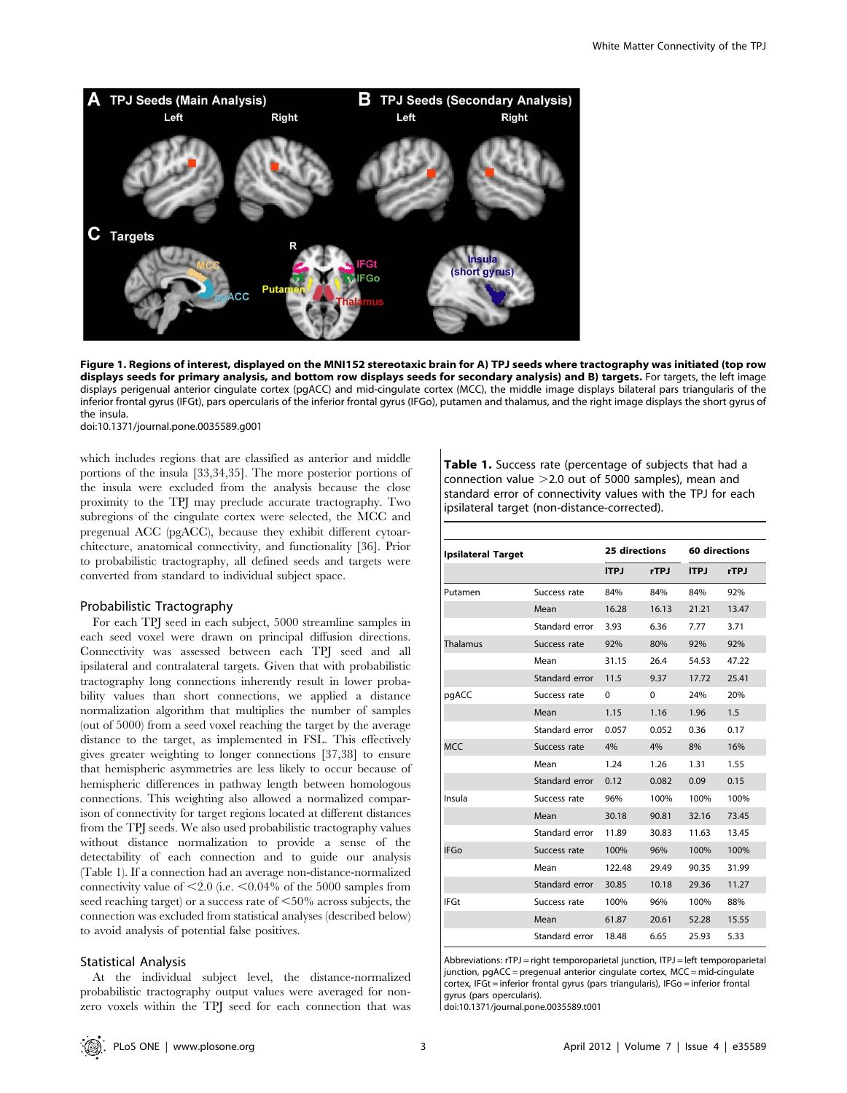

Figure 1. Regions of interest, displayed on the MNI152 stereotaxic brain for A) TPJ seeds where tractography was initiated (top row displays seeds for primary analysis, and bottom row displays seeds for secondary analysis) and B) targets. For targets, the left image displays perigenual anterior cingulate cortex (pgACC) and mid-cingulate cortex (MCC), the middle image displays bilateral pars triangularis of the inferior frontal gyrus (IFGt), pars opercularis of the inferior frontal gyrus (IFGo), putamen and thalamus, and the right image displays the short gyrus of the insula.

doi:10.1371/journal.pone.0035589.g001

which includes regions that are classified as anterior and middle portions of the insula [33,34,35]. The more posterior portions of the insula were excluded from the analysis because the close proximity to the TPJ may preclude accurate tractography. Two subregions of the cingulate cortex were selected, the MCC and pregenual ACC (pgACC), because they exhibit different cytoarchitecture, anatomical connectivity, and functionality [36]. Prior to probabilistic tractography, all defined seeds and targets were converted from standard to individual subject space.

#### Probabilistic Tractography

For each TPJ seed in each subject, 5000 streamline samples in each seed voxel were drawn on principal diffusion directions. Connectivity was assessed between each TPJ seed and all ipsilateral and contralateral targets. Given that with probabilistic tractography long connections inherently result in lower probability values than short connections, we applied a distance normalization algorithm that multiplies the number of samples (out of 5000) from a seed voxel reaching the target by the average distance to the target, as implemented in FSL. This effectively gives greater weighting to longer connections [37,38] to ensure that hemispheric asymmetries are less likely to occur because of hemispheric differences in pathway length between homologous connections. This weighting also allowed a normalized comparison of connectivity for target regions located at different distances from the TPJ seeds. We also used probabilistic tractography values without distance normalization to provide a sense of the detectability of each connection and to guide our analysis (Table 1). If a connection had an average non-distance-normalized connectivity value of  $\leq 2.0$  (i.e.  $\leq 0.04\%$  of the 5000 samples from seed reaching target) or a success rate of  $< 50\%$  across subjects, the connection was excluded from statistical analyses (described below) to avoid analysis of potential false positives.

#### Statistical Analysis

At the individual subject level, the distance-normalized probabilistic tractography output values were averaged for nonzero voxels within the TPJ seed for each connection that was Table 1. Success rate (percentage of subjects that had a connection value  $>2.0$  out of 5000 samples), mean and standard error of connectivity values with the TPJ for each ipsilateral target (non-distance-corrected).

| <b>Ipsilateral Target</b> |                | 25 directions |          | 60 directions |             |
|---------------------------|----------------|---------------|----------|---------------|-------------|
|                           |                | <b>ITPJ</b>   | rTPJ     | <b>ITPJ</b>   | <b>rTPJ</b> |
| Putamen                   | Success rate   | 84%           | 84%      | 84%           | 92%         |
|                           | Mean           | 16.28         | 16.13    | 21.21         | 13.47       |
|                           | Standard error | 3.93          | 6.36     | 7.77          | 3.71        |
| Thalamus                  | Success rate   | 92%           | 80%      | 92%           | 92%         |
|                           | Mean           | 31.15         | 26.4     | 54.53         | 47.22       |
|                           | Standard error | 11.5          | 9.37     | 17.72         | 25.41       |
| pgACC                     | Success rate   | $\Omega$      | $\Omega$ | 24%           | 20%         |
|                           | Mean           | 1.15          | 1.16     | 1.96          | 1.5         |
|                           | Standard error | 0.057         | 0.052    | 0.36          | 0.17        |
| <b>MCC</b>                | Success rate   | 4%            | 4%       | 8%            | 16%         |
|                           | Mean           | 1.24          | 1.26     | 1.31          | 1.55        |
|                           | Standard error | 0.12          | 0.082    | 0.09          | 0.15        |
| Insula                    | Success rate   | 96%           | 100%     | 100%          | 100%        |
|                           | Mean           | 30.18         | 90.81    | 32.16         | 73.45       |
|                           | Standard error | 11.89         | 30.83    | 11.63         | 13.45       |
| <b>IFGo</b>               | Success rate   | 100%          | 96%      | 100%          | 100%        |
|                           | Mean           | 122.48        | 29.49    | 90.35         | 31.99       |
|                           | Standard error | 30.85         | 10.18    | 29.36         | 11.27       |
| <b>IFGt</b>               | Success rate   | 100%          | 96%      | 100%          | 88%         |
|                           | Mean           | 61.87         | 20.61    | 52.28         | 15.55       |
|                           | Standard error | 18.48         | 6.65     | 25.93         | 5.33        |

Abbreviations: rTPJ = right temporoparietal junction, ITPJ = left temporoparietal junction, pgACC = pregenual anterior cingulate cortex, MCC = mid-cingulate cortex, IFGt = inferior frontal gyrus (pars triangularis), IFGo = inferior frontal gyrus (pars opercularis).

doi:10.1371/journal.pone.0035589.t001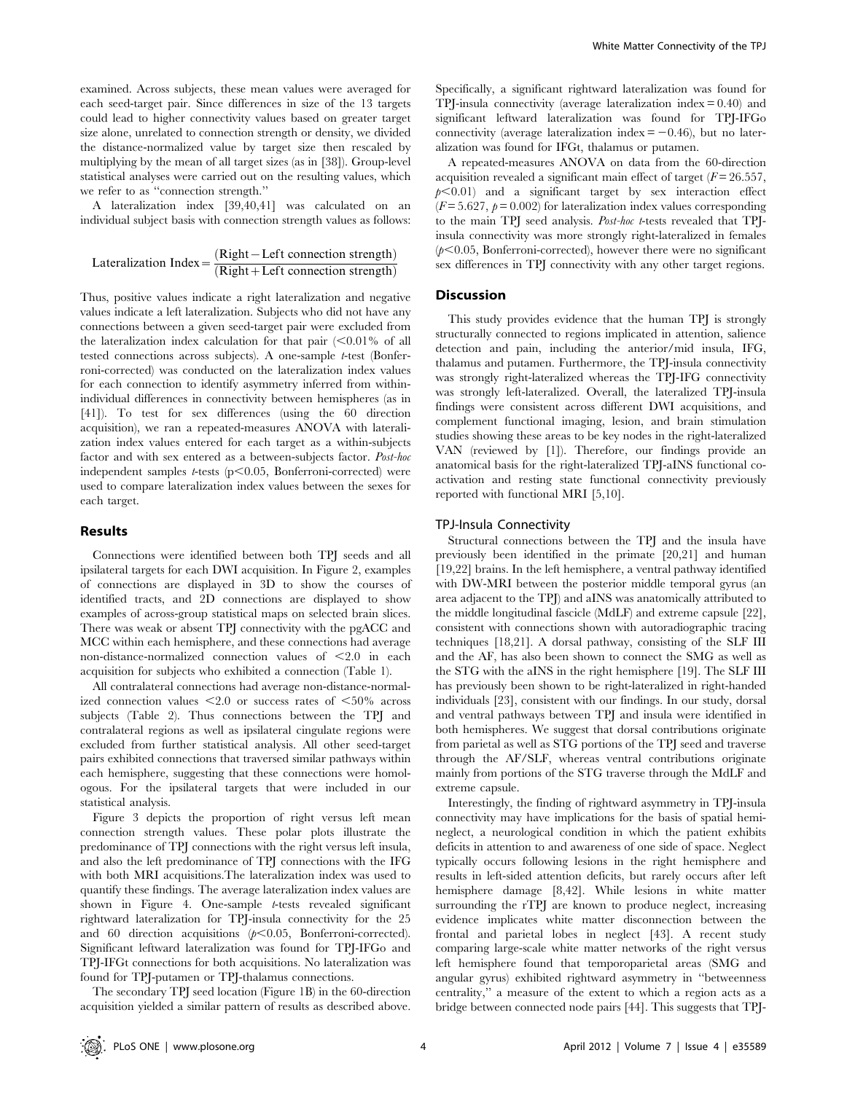examined. Across subjects, these mean values were averaged for each seed-target pair. Since differences in size of the 13 targets could lead to higher connectivity values based on greater target size alone, unrelated to connection strength or density, we divided the distance-normalized value by target size then rescaled by multiplying by the mean of all target sizes (as in [38]). Group-level statistical analyses were carried out on the resulting values, which we refer to as ''connection strength.''

A lateralization index [39,40,41] was calculated on an individual subject basis with connection strength values as follows:

$$
Lateralization Index = \frac{(Right - Left connection strength)}{(Right + Left connection strength)}
$$

Thus, positive values indicate a right lateralization and negative values indicate a left lateralization. Subjects who did not have any connections between a given seed-target pair were excluded from the lateralization index calculation for that pair  $\langle 0.01\%$  of all tested connections across subjects). A one-sample t-test (Bonferroni-corrected) was conducted on the lateralization index values for each connection to identify asymmetry inferred from withinindividual differences in connectivity between hemispheres (as in [41]). To test for sex differences (using the 60 direction acquisition), we ran a repeated-measures ANOVA with lateralization index values entered for each target as a within-subjects factor and with sex entered as a between-subjects factor. Post-hoc independent samples  $t$ -tests (p $\leq$ 0.05, Bonferroni-corrected) were used to compare lateralization index values between the sexes for each target.

#### Results

Connections were identified between both TPJ seeds and all ipsilateral targets for each DWI acquisition. In Figure 2, examples of connections are displayed in 3D to show the courses of identified tracts, and 2D connections are displayed to show examples of across-group statistical maps on selected brain slices. There was weak or absent TPJ connectivity with the pgACC and MCC within each hemisphere, and these connections had average non-distance-normalized connection values of  $\leq 2.0$  in each acquisition for subjects who exhibited a connection (Table 1).

All contralateral connections had average non-distance-normalized connection values  $\leq 2.0$  or success rates of  $\leq 50\%$  across subjects (Table 2). Thus connections between the TPJ and contralateral regions as well as ipsilateral cingulate regions were excluded from further statistical analysis. All other seed-target pairs exhibited connections that traversed similar pathways within each hemisphere, suggesting that these connections were homologous. For the ipsilateral targets that were included in our statistical analysis.

Figure 3 depicts the proportion of right versus left mean connection strength values. These polar plots illustrate the predominance of TPJ connections with the right versus left insula, and also the left predominance of TPJ connections with the IFG with both MRI acquisitions.The lateralization index was used to quantify these findings. The average lateralization index values are shown in Figure 4. One-sample t-tests revealed significant rightward lateralization for TPJ-insula connectivity for the 25 and 60 direction acquisitions  $(p<0.05,$  Bonferroni-corrected). Significant leftward lateralization was found for TPJ-IFGo and TPJ-IFGt connections for both acquisitions. No lateralization was found for TPJ-putamen or TPJ-thalamus connections.

The secondary TPJ seed location (Figure 1B) in the 60-direction acquisition yielded a similar pattern of results as described above.

Specifically, a significant rightward lateralization was found for TPJ-insula connectivity (average lateralization index  $= 0.40$ ) and significant leftward lateralization was found for TPJ-IFGo connectivity (average lateralization index  $= -0.46$ ), but no lateralization was found for IFGt, thalamus or putamen.

A repeated-measures ANOVA on data from the 60-direction acquisition revealed a significant main effect of target  $(F = 26.557)$ ,  $p<0.01$ ) and a significant target by sex interaction effect  $(F = 5.627, p = 0.002)$  for lateralization index values corresponding to the main TPJ seed analysis. Post-hoc t-tests revealed that TPJinsula connectivity was more strongly right-lateralized in females  $(p<0.05$ , Bonferroni-corrected), however there were no significant sex differences in TPJ connectivity with any other target regions.

#### **Discussion**

This study provides evidence that the human TPJ is strongly structurally connected to regions implicated in attention, salience detection and pain, including the anterior/mid insula, IFG, thalamus and putamen. Furthermore, the TPJ-insula connectivity was strongly right-lateralized whereas the TPJ-IFG connectivity was strongly left-lateralized. Overall, the lateralized TPJ-insula findings were consistent across different DWI acquisitions, and complement functional imaging, lesion, and brain stimulation studies showing these areas to be key nodes in the right-lateralized VAN (reviewed by [1]). Therefore, our findings provide an anatomical basis for the right-lateralized TPJ-aINS functional coactivation and resting state functional connectivity previously reported with functional MRI [5,10].

#### TPJ-Insula Connectivity

Structural connections between the TPJ and the insula have previously been identified in the primate [20,21] and human [19,22] brains. In the left hemisphere, a ventral pathway identified with DW-MRI between the posterior middle temporal gyrus (an area adjacent to the TPJ) and aINS was anatomically attributed to the middle longitudinal fascicle (MdLF) and extreme capsule [22], consistent with connections shown with autoradiographic tracing techniques [18,21]. A dorsal pathway, consisting of the SLF III and the AF, has also been shown to connect the SMG as well as the STG with the aINS in the right hemisphere [19]. The SLF III has previously been shown to be right-lateralized in right-handed individuals [23], consistent with our findings. In our study, dorsal and ventral pathways between TPJ and insula were identified in both hemispheres. We suggest that dorsal contributions originate from parietal as well as STG portions of the TPJ seed and traverse through the AF/SLF, whereas ventral contributions originate mainly from portions of the STG traverse through the MdLF and extreme capsule.

Interestingly, the finding of rightward asymmetry in TPJ-insula connectivity may have implications for the basis of spatial hemineglect, a neurological condition in which the patient exhibits deficits in attention to and awareness of one side of space. Neglect typically occurs following lesions in the right hemisphere and results in left-sided attention deficits, but rarely occurs after left hemisphere damage [8,42]. While lesions in white matter surrounding the rTPJ are known to produce neglect, increasing evidence implicates white matter disconnection between the frontal and parietal lobes in neglect [43]. A recent study comparing large-scale white matter networks of the right versus left hemisphere found that temporoparietal areas (SMG and angular gyrus) exhibited rightward asymmetry in ''betweenness centrality,'' a measure of the extent to which a region acts as a bridge between connected node pairs [44]. This suggests that TPJ-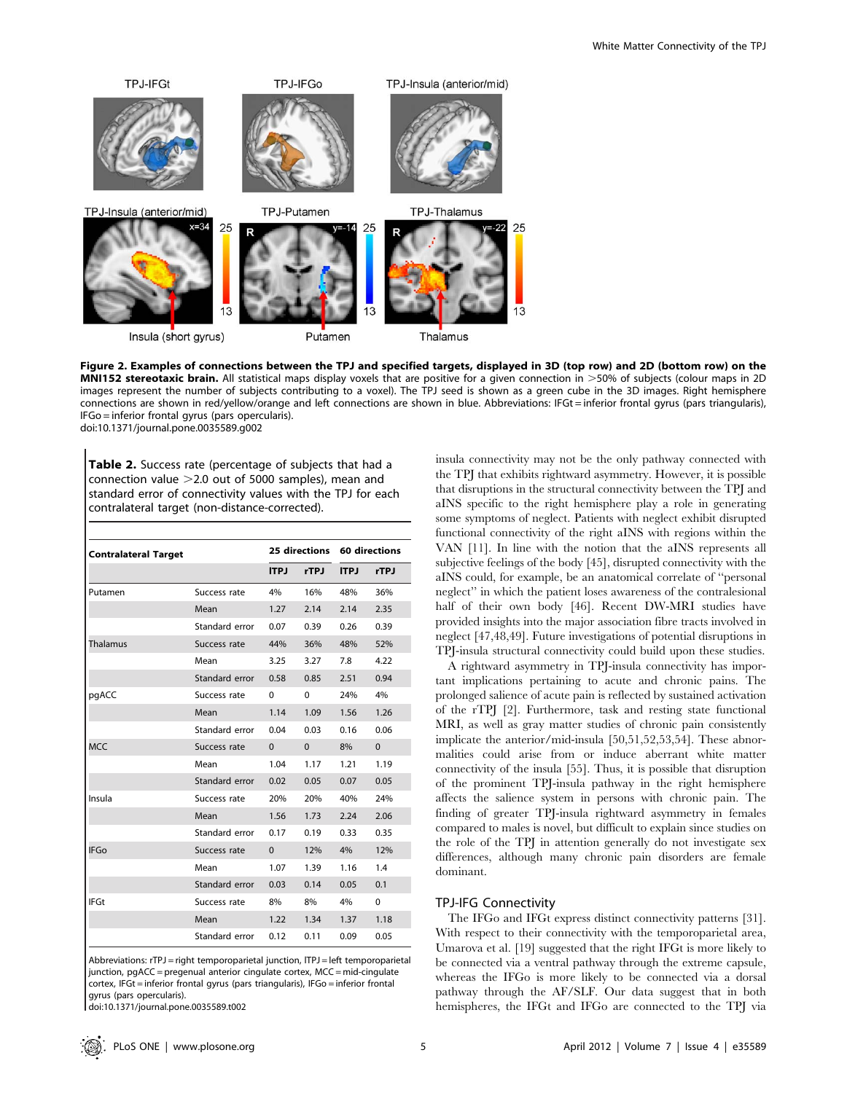

Figure 2. Examples of connections between the TPJ and specified targets, displayed in 3D (top row) and 2D (bottom row) on the MNI152 stereotaxic brain. All statistical maps display voxels that are positive for a given connection in >50% of subjects (colour maps in 2D images represent the number of subjects contributing to a voxel). The TPJ seed is shown as a green cube in the 3D images. Right hemisphere connections are shown in red/yellow/orange and left connections are shown in blue. Abbreviations: IFGt = inferior frontal gyrus (pars triangularis), IFGo = inferior frontal gyrus (pars opercularis). doi:10.1371/journal.pone.0035589.g002

Table 2. Success rate (percentage of subjects that had a connection value  $>2.0$  out of 5000 samples), mean and standard error of connectivity values with the TPJ for each contralateral target (non-distance-corrected).

| <b>Contralateral Target</b> |                |             |             | 25 directions 60 directions |          |
|-----------------------------|----------------|-------------|-------------|-----------------------------|----------|
|                             |                | <b>ITPJ</b> | <b>rTPJ</b> | <b>ITPJ</b>                 | rTPJ     |
| Putamen                     | Success rate   | 4%          | 16%         | 48%                         | 36%      |
|                             | Mean           | 1.27        | 2.14        | 2.14                        | 2.35     |
|                             | Standard error | 0.07        | 0.39        | 0.26                        | 0.39     |
| Thalamus                    | Success rate   | 44%         | 36%         | 48%                         | 52%      |
|                             | Mean           | 3.25        | 3.27        | 7.8                         | 4.22     |
|                             | Standard error | 0.58        | 0.85        | 2.51                        | 0.94     |
| pgACC                       | Success rate   | 0           | $\Omega$    | 24%                         | 4%       |
|                             | Mean           | 1.14        | 1.09        | 1.56                        | 1.26     |
|                             | Standard error | 0.04        | 0.03        | 0.16                        | 0.06     |
| <b>MCC</b>                  | Success rate   | $\Omega$    | $\Omega$    | 8%                          | $\Omega$ |
|                             | Mean           | 1.04        | 1.17        | 1.21                        | 1.19     |
|                             | Standard error | 0.02        | 0.05        | 0.07                        | 0.05     |
| Insula                      | Success rate   | 20%         | 20%         | 40%                         | 24%      |
|                             | Mean           | 1.56        | 1.73        | 2.24                        | 2.06     |
|                             | Standard error | 0.17        | 0.19        | 0.33                        | 0.35     |
| <b>IFGo</b>                 | Success rate   | $\Omega$    | 12%         | 4%                          | 12%      |
|                             | Mean           | 1.07        | 1.39        | 1.16                        | 1.4      |
|                             | Standard error | 0.03        | 0.14        | 0.05                        | 0.1      |
| <b>IFGt</b>                 | Success rate   | 8%          | 8%          | 4%                          | $\Omega$ |
|                             | Mean           | 1.22        | 1.34        | 1.37                        | 1.18     |
|                             | Standard error | 0.12        | 0.11        | 0.09                        | 0.05     |

Abbreviations: rTPJ = right temporoparietal junction, ITPJ = left temporoparietal junction, pgACC = pregenual anterior cingulate cortex, MCC = mid-cingulate cortex, IFGt = inferior frontal gyrus (pars triangularis), IFGo = inferior frontal gyrus (pars opercularis).

doi:10.1371/journal.pone.0035589.t002

insula connectivity may not be the only pathway connected with the TPJ that exhibits rightward asymmetry. However, it is possible that disruptions in the structural connectivity between the TPJ and aINS specific to the right hemisphere play a role in generating some symptoms of neglect. Patients with neglect exhibit disrupted functional connectivity of the right aINS with regions within the VAN [11]. In line with the notion that the aINS represents all subjective feelings of the body [45], disrupted connectivity with the aINS could, for example, be an anatomical correlate of ''personal neglect'' in which the patient loses awareness of the contralesional half of their own body [46]. Recent DW-MRI studies have provided insights into the major association fibre tracts involved in neglect [47,48,49]. Future investigations of potential disruptions in TPJ-insula structural connectivity could build upon these studies.

A rightward asymmetry in TPJ-insula connectivity has important implications pertaining to acute and chronic pains. The prolonged salience of acute pain is reflected by sustained activation of the rTPJ [2]. Furthermore, task and resting state functional MRI, as well as gray matter studies of chronic pain consistently implicate the anterior/mid-insula [50,51,52,53,54]. These abnormalities could arise from or induce aberrant white matter connectivity of the insula [55]. Thus, it is possible that disruption of the prominent TPJ-insula pathway in the right hemisphere affects the salience system in persons with chronic pain. The finding of greater TPJ-insula rightward asymmetry in females compared to males is novel, but difficult to explain since studies on the role of the TPJ in attention generally do not investigate sex differences, although many chronic pain disorders are female dominant.

# TPJ-IFG Connectivity

The IFGo and IFGt express distinct connectivity patterns [31]. With respect to their connectivity with the temporoparietal area, Umarova et al. [19] suggested that the right IFGt is more likely to be connected via a ventral pathway through the extreme capsule, whereas the IFGo is more likely to be connected via a dorsal pathway through the AF/SLF. Our data suggest that in both hemispheres, the IFGt and IFGo are connected to the TPJ via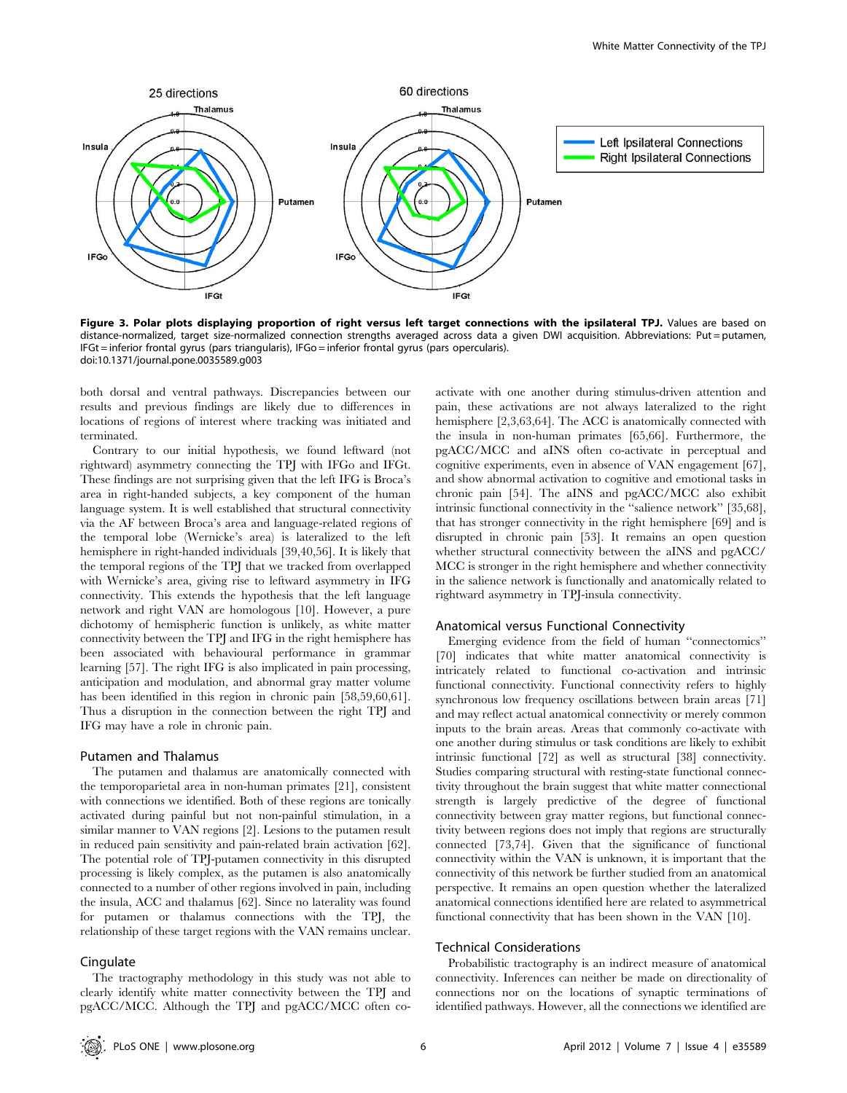

Figure 3. Polar plots displaying proportion of right versus left target connections with the ipsilateral TPJ. Values are based on distance-normalized, target size-normalized connection strengths averaged across data a given DWI acquisition. Abbreviations: Put = putamen, IFGt = inferior frontal gyrus (pars triangularis), IFGo = inferior frontal gyrus (pars opercularis). doi:10.1371/journal.pone.0035589.g003

both dorsal and ventral pathways. Discrepancies between our results and previous findings are likely due to differences in locations of regions of interest where tracking was initiated and terminated.

Contrary to our initial hypothesis, we found leftward (not rightward) asymmetry connecting the TPJ with IFGo and IFGt. These findings are not surprising given that the left IFG is Broca's area in right-handed subjects, a key component of the human language system. It is well established that structural connectivity via the AF between Broca's area and language-related regions of the temporal lobe (Wernicke's area) is lateralized to the left hemisphere in right-handed individuals [39,40,56]. It is likely that the temporal regions of the TPJ that we tracked from overlapped with Wernicke's area, giving rise to leftward asymmetry in IFG connectivity. This extends the hypothesis that the left language network and right VAN are homologous [10]. However, a pure dichotomy of hemispheric function is unlikely, as white matter connectivity between the TPJ and IFG in the right hemisphere has been associated with behavioural performance in grammar learning [57]. The right IFG is also implicated in pain processing, anticipation and modulation, and abnormal gray matter volume has been identified in this region in chronic pain [58,59,60,61]. Thus a disruption in the connection between the right TPJ and IFG may have a role in chronic pain.

#### Putamen and Thalamus

The putamen and thalamus are anatomically connected with the temporoparietal area in non-human primates [21], consistent with connections we identified. Both of these regions are tonically activated during painful but not non-painful stimulation, in a similar manner to VAN regions [2]. Lesions to the putamen result in reduced pain sensitivity and pain-related brain activation [62]. The potential role of TPJ-putamen connectivity in this disrupted processing is likely complex, as the putamen is also anatomically connected to a number of other regions involved in pain, including the insula, ACC and thalamus [62]. Since no laterality was found for putamen or thalamus connections with the TPJ, the relationship of these target regions with the VAN remains unclear.

## **Cingulate**

The tractography methodology in this study was not able to clearly identify white matter connectivity between the TPJ and pgACC/MCC. Although the TPJ and pgACC/MCC often coactivate with one another during stimulus-driven attention and pain, these activations are not always lateralized to the right hemisphere [2,3,63,64]. The ACC is anatomically connected with the insula in non-human primates [65,66]. Furthermore, the pgACC/MCC and aINS often co-activate in perceptual and cognitive experiments, even in absence of VAN engagement [67], and show abnormal activation to cognitive and emotional tasks in chronic pain [54]. The aINS and pgACC/MCC also exhibit intrinsic functional connectivity in the ''salience network'' [35,68], that has stronger connectivity in the right hemisphere [69] and is disrupted in chronic pain [53]. It remains an open question whether structural connectivity between the aINS and pgACC/ MCC is stronger in the right hemisphere and whether connectivity in the salience network is functionally and anatomically related to rightward asymmetry in TPJ-insula connectivity.

#### Anatomical versus Functional Connectivity

Emerging evidence from the field of human ''connectomics'' [70] indicates that white matter anatomical connectivity is intricately related to functional co-activation and intrinsic functional connectivity. Functional connectivity refers to highly synchronous low frequency oscillations between brain areas [71] and may reflect actual anatomical connectivity or merely common inputs to the brain areas. Areas that commonly co-activate with one another during stimulus or task conditions are likely to exhibit intrinsic functional [72] as well as structural [38] connectivity. Studies comparing structural with resting-state functional connectivity throughout the brain suggest that white matter connectional strength is largely predictive of the degree of functional connectivity between gray matter regions, but functional connectivity between regions does not imply that regions are structurally connected [73,74]. Given that the significance of functional connectivity within the VAN is unknown, it is important that the connectivity of this network be further studied from an anatomical perspective. It remains an open question whether the lateralized anatomical connections identified here are related to asymmetrical functional connectivity that has been shown in the VAN [10].

# Technical Considerations

Probabilistic tractography is an indirect measure of anatomical connectivity. Inferences can neither be made on directionality of connections nor on the locations of synaptic terminations of identified pathways. However, all the connections we identified are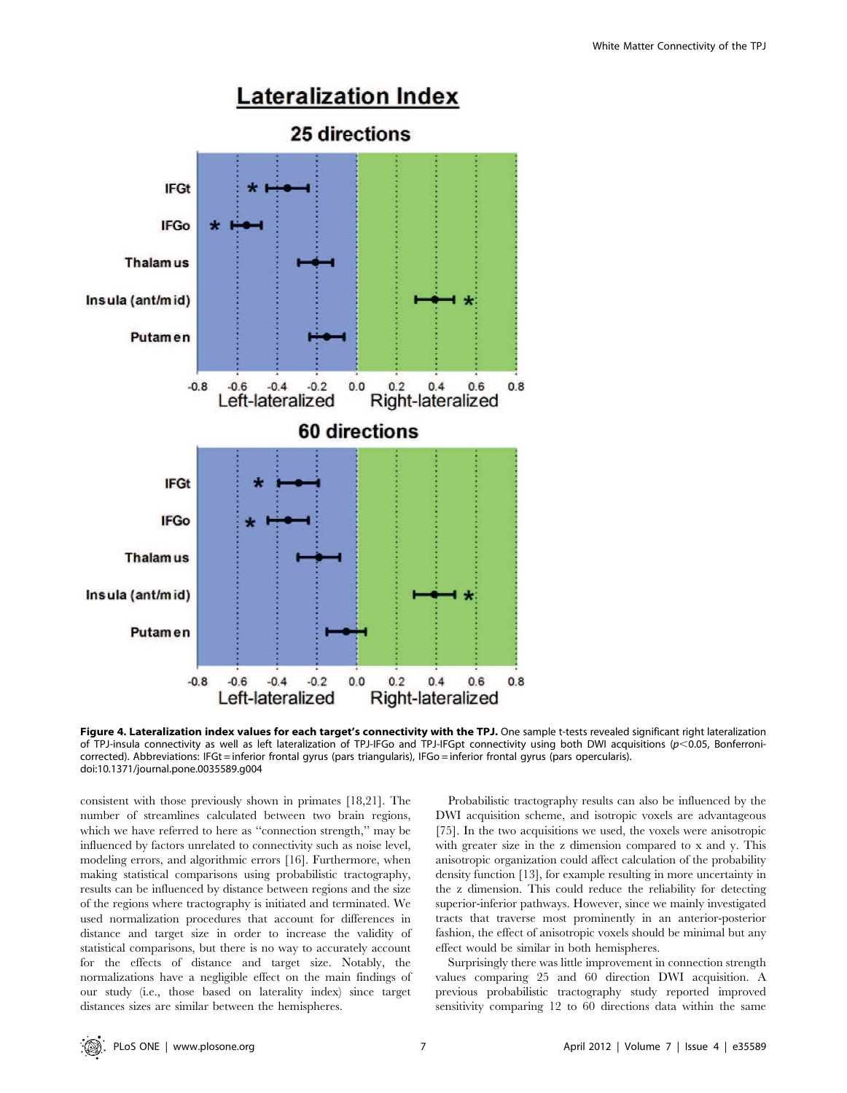

Figure 4. Lateralization index values for each target's connectivity with the TPJ. One sample t-tests revealed significant right lateralization of TPJ-insula connectivity as well as left lateralization of TPJ-IFGo and TPJ-IFGpt connectivity using both DWI acquisitions (p<0.05, Bonferronicorrected). Abbreviations: IFGt = inferior frontal gyrus (pars triangularis), IFGo = inferior frontal gyrus (pars opercularis). doi:10.1371/journal.pone.0035589.g004

consistent with those previously shown in primates [18,21]. The number of streamlines calculated between two brain regions, which we have referred to here as "connection strength," may be influenced by factors unrelated to connectivity such as noise level, modeling errors, and algorithmic errors [16]. Furthermore, when making statistical comparisons using probabilistic tractography, results can be influenced by distance between regions and the size of the regions where tractography is initiated and terminated. We used normalization procedures that account for differences in distance and target size in order to increase the validity of statistical comparisons, but there is no way to accurately account for the effects of distance and target size. Notably, the normalizations have a negligible effect on the main findings of our study (i.e., those based on laterality index) since target distances sizes are similar between the hemispheres.

Probabilistic tractography results can also be influenced by the DWI acquisition scheme, and isotropic voxels are advantageous [75]. In the two acquisitions we used, the voxels were anisotropic with greater size in the z dimension compared to x and y. This anisotropic organization could affect calculation of the probability density function [13], for example resulting in more uncertainty in the z dimension. This could reduce the reliability for detecting superior-inferior pathways. However, since we mainly investigated tracts that traverse most prominently in an anterior-posterior fashion, the effect of anisotropic voxels should be minimal but any effect would be similar in both hemispheres.

Surprisingly there was little improvement in connection strength values comparing 25 and 60 direction DWI acquisition. A previous probabilistic tractography study reported improved sensitivity comparing 12 to 60 directions data within the same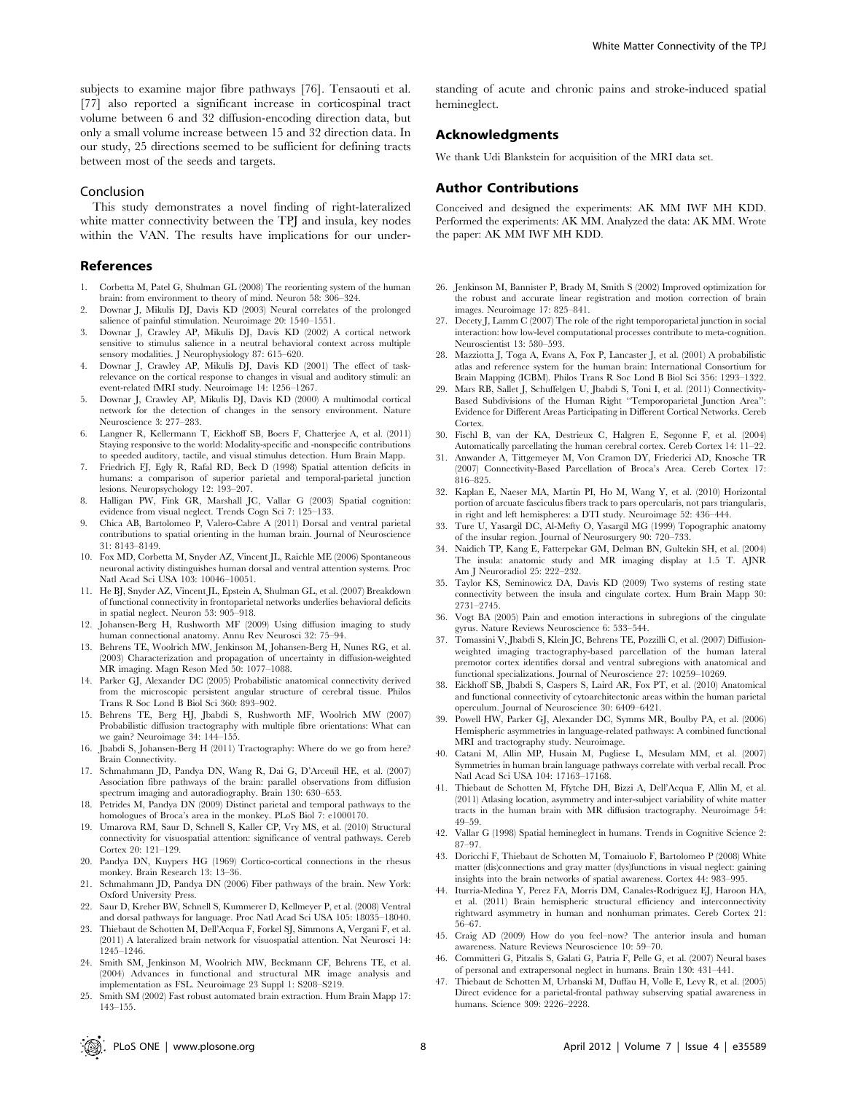subjects to examine major fibre pathways [76]. Tensaouti et al. [77] also reported a significant increase in corticospinal tract volume between 6 and 32 diffusion-encoding direction data, but only a small volume increase between 15 and 32 direction data. In our study, 25 directions seemed to be sufficient for defining tracts between most of the seeds and targets.

#### Conclusion

This study demonstrates a novel finding of right-lateralized white matter connectivity between the TPJ and insula, key nodes within the VAN. The results have implications for our under-

#### References

- 1. Corbetta M, Patel G, Shulman GL (2008) The reorienting system of the human brain: from environment to theory of mind. Neuron 58: 306–324.
- 2. Downar J, Mikulis DJ, Davis KD (2003) Neural correlates of the prolonged salience of painful stimulation. Neuroimage 20: 1540–1551.
- 3. Downar J, Crawley AP, Mikulis DJ, Davis KD (2002) A cortical network sensitive to stimulus salience in a neutral behavioral context across multiple sensory modalities. J Neurophysiology 87: 615–620.
- 4. Downar J, Crawley AP, Mikulis DJ, Davis KD (2001) The effect of taskrelevance on the cortical response to changes in visual and auditory stimuli: an event-related fMRI study. Neuroimage 14: 1256–1267.
- 5. Downar J, Crawley AP, Mikulis DJ, Davis KD (2000) A multimodal cortical network for the detection of changes in the sensory environment. Nature Neuroscience 3: 277–283.
- 6. Langner R, Kellermann T, Eickhoff SB, Boers F, Chatterjee A, et al. (2011) Staying responsive to the world: Modality-specific and -nonspecific contributions to speeded auditory, tactile, and visual stimulus detection. Hum Brain Mapp.
- 7. Friedrich FJ, Egly R, Rafal RD, Beck D (1998) Spatial attention deficits in humans: a comparison of superior parietal and temporal-parietal junction lesions. Neuropsychology 12: 193–207.
- 8. Halligan PW, Fink GR, Marshall JC, Vallar G (2003) Spatial cognition: evidence from visual neglect. Trends Cogn Sci 7: 125–133.
- 9. Chica AB, Bartolomeo P, Valero-Cabre A (2011) Dorsal and ventral parietal contributions to spatial orienting in the human brain. Journal of Neuroscience 31: 8143–8149.
- 10. Fox MD, Corbetta M, Snyder AZ, Vincent JL, Raichle ME (2006) Spontaneous neuronal activity distinguishes human dorsal and ventral attention systems. Proc Natl Acad Sci USA 103: 10046–10051.
- 11. He BJ, Snyder AZ, Vincent JL, Epstein A, Shulman GL, et al. (2007) Breakdown of functional connectivity in frontoparietal networks underlies behavioral deficits in spatial neglect. Neuron 53: 905–918.
- 12. Johansen-Berg H, Rushworth MF (2009) Using diffusion imaging to study human connectional anatomy. Annu Rev Neurosci 32: 75–94.
- 13. Behrens TE, Woolrich MW, Jenkinson M, Johansen-Berg H, Nunes RG, et al. (2003) Characterization and propagation of uncertainty in diffusion-weighted MR imaging. Magn Reson Med 50: 1077–1088.
- 14. Parker GJ, Alexander DC (2005) Probabilistic anatomical connectivity derived from the microscopic persistent angular structure of cerebral tissue. Philos Trans R Soc Lond B Biol Sci 360: 893–902.
- 15. Behrens TE, Berg HJ, Jbabdi S, Rushworth MF, Woolrich MW (2007) Probabilistic diffusion tractography with multiple fibre orientations: What can we gain? Neuroimage 34: 144–155.
- 16. Jbabdi S, Johansen-Berg H (2011) Tractography: Where do we go from here? Brain Connectivity.
- 17. Schmahmann JD, Pandya DN, Wang R, Dai G, D'Arceuil HE, et al. (2007) Association fibre pathways of the brain: parallel observations from diffusion spectrum imaging and autoradiography. Brain 130: 630–653.
- 18. Petrides M, Pandya DN (2009) Distinct parietal and temporal pathways to the homologues of Broca's area in the monkey. PLoS Biol 7: e1000170.
- 19. Umarova RM, Saur D, Schnell S, Kaller CP, Vry MS, et al. (2010) Structural connectivity for visuospatial attention: significance of ventral pathways. Cereb Cortex 20: 121–129.
- 20. Pandya DN, Kuypers HG (1969) Cortico-cortical connections in the rhesus monkey. Brain Research 13: 13–36.
- 21. Schmahmann JD, Pandya DN (2006) Fiber pathways of the brain. New York: Oxford University Press.
- 22. Saur D, Kreher BW, Schnell S, Kummerer D, Kellmeyer P, et al. (2008) Ventral and dorsal pathways for language. Proc Natl Acad Sci USA 105: 18035–18040.
- 23. Thiebaut de Schotten M, Dell'Acqua F, Forkel SJ, Simmons A, Vergani F, et al. (2011) A lateralized brain network for visuospatial attention. Nat Neurosci 14: 1245–1246.
- 24. Smith SM, Jenkinson M, Woolrich MW, Beckmann CF, Behrens TE, et al. (2004) Advances in functional and structural MR image analysis and implementation as FSL. Neuroimage 23 Suppl 1: S208–S219.
- 25. Smith SM (2002) Fast robust automated brain extraction. Hum Brain Mapp 17: 143–155.

standing of acute and chronic pains and stroke-induced spatial hemineglect.

# Acknowledgments

We thank Udi Blankstein for acquisition of the MRI data set.

# Author Contributions

Conceived and designed the experiments: AK MM IWF MH KDD. Performed the experiments: AK MM. Analyzed the data: AK MM. Wrote the paper: AK MM IWF MH KDD.

- 26. Jenkinson M, Bannister P, Brady M, Smith S (2002) Improved optimization for the robust and accurate linear registration and motion correction of brain images. Neuroimage 17: 825–841.
- 27. Decety I, Lamm C (2007) The role of the right temporoparietal junction in social interaction: how low-level computational processes contribute to meta-cognition. Neuroscientist 13: 580–593.
- 28. Mazziotta J, Toga A, Evans A, Fox P, Lancaster J, et al. (2001) A probabilistic atlas and reference system for the human brain: International Consortium for Brain Mapping (ICBM). Philos Trans R Soc Lond B Biol Sci 356: 1293–1322.
- 29. Mars RB, Sallet J, Schuffelgen U, Jbabdi S, Toni I, et al. (2011) Connectivity-Based Subdivisions of the Human Right ''Temporoparietal Junction Area'': Evidence for Different Areas Participating in Different Cortical Networks. Cereb Cortex.
- 30. Fischl B, van der KA, Destrieux C, Halgren E, Segonne F, et al. (2004) Automatically parcellating the human cerebral cortex. Cereb Cortex 14: 11–22.
- 31. Anwander A, Tittgemeyer M, Von Cramon DY, Friederici AD, Knosche TR (2007) Connectivity-Based Parcellation of Broca's Area. Cereb Cortex 17: 816–825.
- 32. Kaplan E, Naeser MA, Martin PI, Ho M, Wang Y, et al. (2010) Horizontal portion of arcuate fasciculus fibers track to pars opercularis, not pars triangularis, in right and left hemispheres: a DTI study. Neuroimage 52: 436–444.
- 33. Ture U, Yasargil DC, Al-Mefty O, Yasargil MG (1999) Topographic anatomy of the insular region. Journal of Neurosurgery 90: 720–733.
- 34. Naidich TP, Kang E, Fatterpekar GM, Delman BN, Gultekin SH, et al. (2004) The insula: anatomic study and MR imaging display at 1.5 T. AJNR Am J Neuroradiol 25: 222–232.
- 35. Taylor KS, Seminowicz DA, Davis KD (2009) Two systems of resting state connectivity between the insula and cingulate cortex. Hum Brain Mapp 30: 2731–2745.
- 36. Vogt BA (2005) Pain and emotion interactions in subregions of the cingulate gyrus. Nature Reviews Neuroscience 6: 533–544.
- 37. Tomassini V, Jbabdi S, Klein JC, Behrens TE, Pozzilli C, et al. (2007) Diffusionweighted imaging tractography-based parcellation of the human lateral premotor cortex identifies dorsal and ventral subregions with anatomical and functional specializations. Journal of Neuroscience 27: 10259–10269.
- 38. Eickhoff SB, Jbabdi S, Caspers S, Laird AR, Fox PT, et al. (2010) Anatomical and functional connectivity of cytoarchitectonic areas within the human parietal operculum. Journal of Neuroscience 30: 6409–6421.
- 39. Powell HW, Parker GJ, Alexander DC, Symms MR, Boulby PA, et al. (2006) Hemispheric asymmetries in language-related pathways: A combined functional MRI and tractography study. Neuroimage.
- 40. Catani M, Allin MP, Husain M, Pugliese L, Mesulam MM, et al. (2007) Symmetries in human brain language pathways correlate with verbal recall. Proc Natl Acad Sci USA 104: 17163–17168.
- 41. Thiebaut de Schotten M, Ffytche DH, Bizzi A, Dell'Acqua F, Allin M, et al. (2011) Atlasing location, asymmetry and inter-subject variability of white matter tracts in the human brain with MR diffusion tractography. Neuroimage 54: 49–59.
- 42. Vallar G (1998) Spatial hemineglect in humans. Trends in Cognitive Science 2: 87–97.
- 43. Doricchi F, Thiebaut de Schotten M, Tomaiuolo F, Bartolomeo P (2008) White matter (dis)connections and gray matter (dys)functions in visual neglect: gaining insights into the brain networks of spatial awareness. Cortex 44: 983–995.
- 44. Iturria-Medina Y, Perez FA, Morris DM, Canales-Rodriguez EJ, Haroon HA, et al. (2011) Brain hemispheric structural efficiency and interconnectivity rightward asymmetry in human and nonhuman primates. Cereb Cortex 21: 56–67.
- 45. Craig AD (2009) How do you feel–now? The anterior insula and human awareness. Nature Reviews Neuroscience 10: 59–70.
- 46. Committeri G, Pitzalis S, Galati G, Patria F, Pelle G, et al. (2007) Neural bases of personal and extrapersonal neglect in humans. Brain 130: 431–441.
- 47. Thiebaut de Schotten M, Urbanski M, Duffau H, Volle E, Levy R, et al. (2005) Direct evidence for a parietal-frontal pathway subserving spatial awareness in humans. Science 309: 2226–2228.